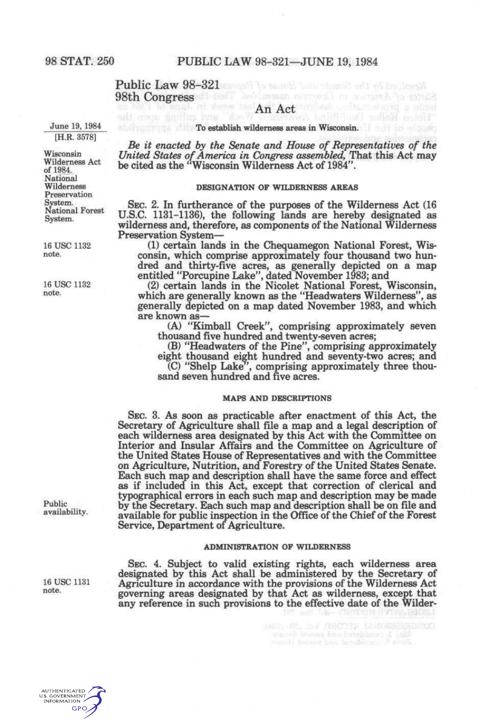#### Public Law 98-321 and the search base stands and relationship 98th Congress desil belonsen assessed a margin his since

### $\limsup_{n \to \infty}$  and  $\limsup_{n \to \infty}$   $\limsup_{n \to \infty}$   $\limsup_{n \to \infty}$   $\limsup_{n \to \infty}$

June 19, 1984 [H.R. 3578]

Wisconsin Wilderness Act of 1984. National Wilderness Preservation System. National Forest System.

16 USC 1132 note.

16 USC 1132 note.

Public availability.

16 USC 1131 note.

**To establish wilderness areas in Wisconsin. The state of the State Towns** 

*Be it enacted by the Senate and House of Representatives of the United States of America in Congress assembled,* That this Act may be cited as the "Wisconsin Wilderness Act of 1984"

#### DESIGNATION OF WILDERNESS AREAS

SEC. 2. In furtherance of the purposes of the Wilderness Act (16 U.S.C. 1131-1136), the following lands are hereby designated as wilderness and, therefore, as components of the National Wilderness Preservation System—

(1) certain lands in the Chequamegon National Forest, Wisconsin, which comprise approximately four thousand two hundred and thirty-five acres, as generally depicted on a map entitled "Porcupine Lake", dated November 1983; and

(2) certain lands in the Nicolet National Forest, Wisconsin, which are generally known as the "Headwaters Wilderness", as generally depicted on a map dated November 1983, and which are known as—

(A) "Kimball Creek", comprising approximately seven thousand five hundred and twenty-seven acres;

(B) "Headwaters of the Pine", comprising approximately

eight thousand eight hundred and seventy-two acres; and (C) "Shelp Lake", comprising approximately three thousand seven hundred and five acres.

#### MAPS AND DESCRIPTIONS

SEC. 3. As soon as practicable after enactment of this Act, the Secretary of Agriculture shall file a map and a legal description of each wilderness area designated by this Act with the Committee on Interior and Insular Affairs and the Committee on Agriculture of the United States House of Representatives and with the Committee on Agriculture, Nutrition, and Forestry of the United States Senate. Each such map and description shall have the same force and effect as if included in this Act, except that correction of clerical and typographical errors in each such map and description may be made by the Secretary. Each such map and description shall be on file and available for public inspection in the Office of the Chief of the Forest Service, Department of Agriculture.

#### ADMINISTRATION OF WILDERNESS

SEC. 4. Subject to valid existing rights, each wilderness area designated by this Act shall be administered by the Secretary of Agriculture in accordance with the provisions of the Wilderness Act governing areas designated by that Act as wilderness, except that any reference in such provisions to the effective date of the Wilder-

 $\begin{tabular}{l|c|c|c|c|c|c|c|c} \hline (1601) & 0.01 & 0.01 & 0.001 & 0.001 & 0.001 & 0.001 & 0.001 & 0.001 & 0.001 & 0.001 & 0.001 & 0.001 & 0.001 & 0.001 & 0.001 & 0.001 & 0.001 & 0.001 & 0.001 & 0.001 & 0.001 & 0.001 & 0.001 & 0.001 & 0.001 & 0.001 & 0.001$ 

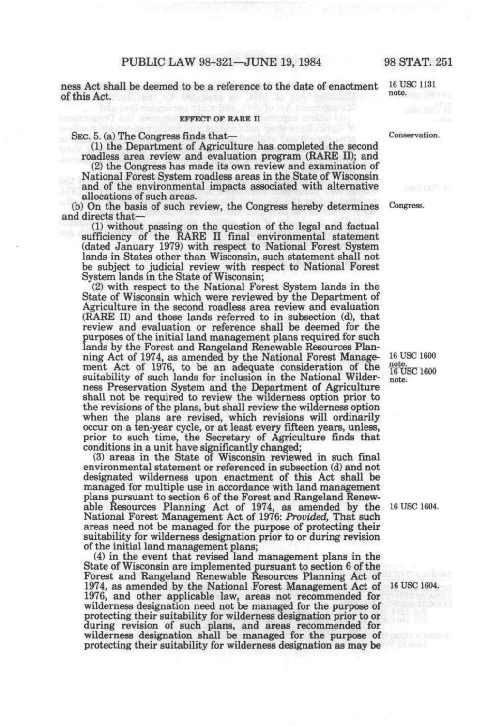ness Act shall be deemed to be a reference to the date of enactment  $16 \text{ USC}$  1131 note. of this Act. *'"'^^* 

#### **EFFECT OF RARE II EFFECT OF RARE II**

SEC. 5. (a) The Congress finds that— Conservation.

(1) the Department of Agriculture has completed the second roadless area review and evaluation program (RARE II); and

(2) the Congress has made its own review and examination of National Forest System roadless areas in the State of Wisconsin and of the environmental impacts associated with alternative allocations of such areas.

(b) On the basis of such review, the Congress hereby determines Congress. and directs that—

(1) without passing on the question of the legal and factual sufficiency of the RARE II final environmental statement (dated January 1979) with respect to National Forest System lands in States other than Wisconsin, such statement shall not be subject to judicial review with respect to National Forest System lands in the State of Wisconsin;

(2) with respect to the National Forest System lands in the State of Wisconsin which were reviewed by the Department of Agriculture in the second roadless area review and evaluation (RARE II) and those lands referred to in subsection (d), that review and evaluation or reference shall be deemed for the purposes of the initial land management plans required for such lands by the Forest and Rangeland Renewable Resources Planning Act of 1974, as amended by the National Forest Management Act of 1976, to be an adequate consideration of the suitability of such lands for inclusion in the National Wilderness Preservation System and the Department of Agriculture shall not be required to review the wilderness option prior to the revisions of the plans, but shall review the wilderness option when the plans are revised, which revisions will ordinarily occur on a ten-year cycle, or at least every fifteen years, unless, prior to such time, the Secretary of Agriculture finds that conditions in a unit have significantly changed;

(3) areas in the State of Wisconsin reviewed in such final environmental statement or referenced in subsection (d) and not designated wilderness upon enactment of this Act shall be managed for multiple use in accordance with land management plans pursuant to section 6 of the Forest and Rangeland Renewable Resources Planning Act of 1974, as amended by the 16 USC 1604. National Forest Management Act of 1976: *Provided,* That such areas need not be managed for the purpose of protecting their suitability for wilderness designation prior to or during revision of the initial land management plans;

(4) in the event that revised land management plans in the State of Wisconsin are implemented pursuant to section 6 of the Forest and Rangeland Renewable Resources Planning Act of 1974, as amended by the National Forest Management Act of 16 USC 1604. 1976, and other applicable law, areas not recommended for wilderness designation need not be managed for the purpose of protecting their suitability for wilderness designation prior to or during revision of such plans, and areas recommended for wilderness designation shall be managed for the purpose of protecting their suitability for wilderness designation as may be

16 USC 1600 note.<br>16 USC 1600 note.